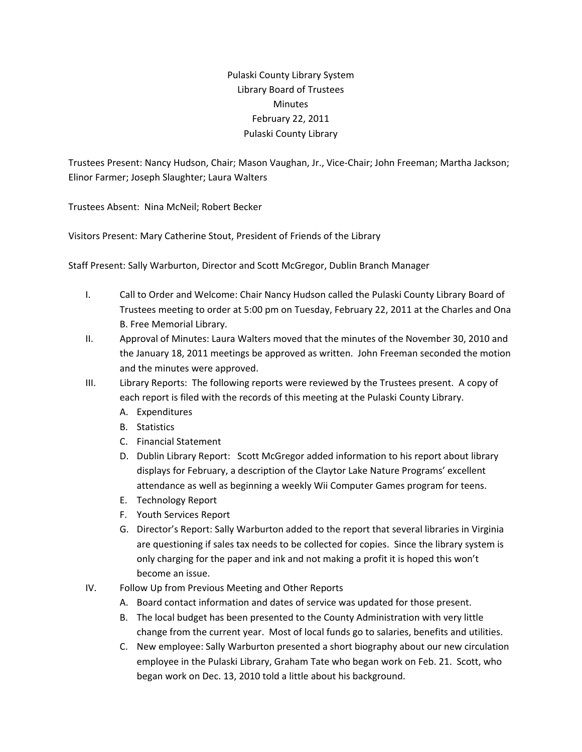## Pulaski County Library System Library Board of Trustees Minutes February 22, 2011 Pulaski County Library

Trustees Present: Nancy Hudson, Chair; Mason Vaughan, Jr., Vice‐Chair; John Freeman; Martha Jackson; Elinor Farmer; Joseph Slaughter; Laura Walters

Trustees Absent: Nina McNeil; Robert Becker

Visitors Present: Mary Catherine Stout, President of Friends of the Library

Staff Present: Sally Warburton, Director and Scott McGregor, Dublin Branch Manager

- I. Call to Order and Welcome: Chair Nancy Hudson called the Pulaski County Library Board of Trustees meeting to order at 5:00 pm on Tuesday, February 22, 2011 at the Charles and Ona B. Free Memorial Library.
- II. Approval of Minutes: Laura Walters moved that the minutes of the November 30, 2010 and the January 18, 2011 meetings be approved as written. John Freeman seconded the motion and the minutes were approved.
- III. Library Reports: The following reports were reviewed by the Trustees present. A copy of each report is filed with the records of this meeting at the Pulaski County Library.
	- A. Expenditures
	- B. Statistics
	- C. Financial Statement
	- D. Dublin Library Report: Scott McGregor added information to his report about library displays for February, a description of the Claytor Lake Nature Programs' excellent attendance as well as beginning a weekly Wii Computer Games program for teens.
	- E. Technology Report
	- F. Youth Services Report
	- G. Director's Report: Sally Warburton added to the report that several libraries in Virginia are questioning if sales tax needs to be collected for copies. Since the library system is only charging for the paper and ink and not making a profit it is hoped this won't become an issue.
- IV. Follow Up from Previous Meeting and Other Reports
	- A. Board contact information and dates of service was updated for those present.
	- B. The local budget has been presented to the County Administration with very little change from the current year. Most of local funds go to salaries, benefits and utilities.
	- C. New employee: Sally Warburton presented a short biography about our new circulation employee in the Pulaski Library, Graham Tate who began work on Feb. 21. Scott, who began work on Dec. 13, 2010 told a little about his background.